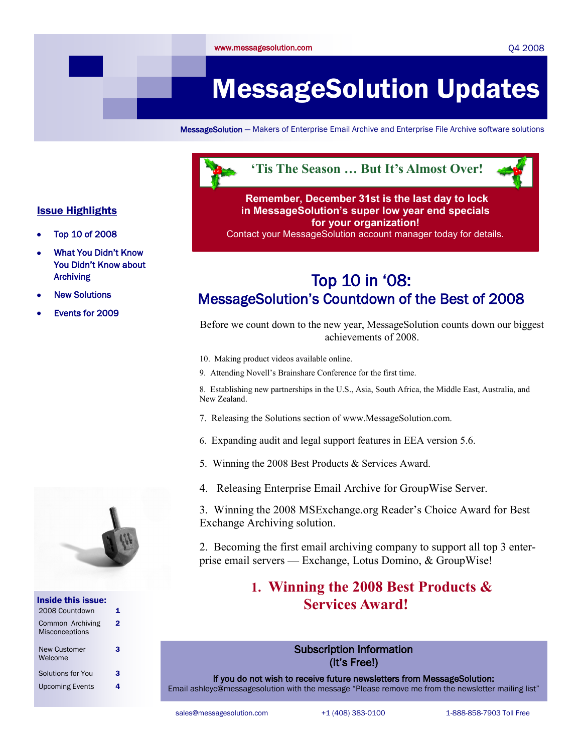#### Q4 2008

# MessageSolution Updates

MessageSolution — Makers of Enterprise Email Archive and Enterprise File Archive software solutions



#### **Remember, December 31st is the last day to lock in MessageSolution's super low year end specials for your organization!**  Contact your MessageSolution account manager today for details.

### Top 10 in "08: MessageSolution"s Countdown of the Best of 2008

Before we count down to the new year, MessageSolution counts down our biggest achievements of 2008.

- 10. Making product videos available online.
- 9. Attending Novell's Brainshare Conference for the first time.

8. Establishing new partnerships in the U.S., Asia, South Africa, the Middle East, Australia, and New Zealand.

- 7. Releasing the Solutions section of www.MessageSolution.com.
- 6. Expanding audit and legal support features in EEA version 5.6.
- 5. Winning the 2008 Best Products & Services Award.
- 4. Releasing Enterprise Email Archive for GroupWise Server.

3. Winning the 2008 MSExchange.org Reader's Choice Award for Best Exchange Archiving solution.

2. Becoming the first email archiving company to support all top 3 enterprise email servers — Exchange, Lotus Domino, & GroupWise!

### **1. Winning the 2008 Best Products & Services Award!**

#### Subscription Information (It"s Free!)

If you do not wish to receive future newsletters from MessageSolution: Email ashleyc@messagesolution with the message "Please remove me from the newsletter mailing list"

sales@messagesolution.com +1 (408) 383-0100 1-888-858-7903 Toll Free

### Issue Highlights

- Top 10 of 2008
- What You Didn"t Know You Didn"t Know about Archiving
- New Solutions
- Events for 2009



| Inside this issue:                        |   |
|-------------------------------------------|---|
| 2008 Countdown                            | 1 |
| Common Archiving<br><b>Misconceptions</b> | 2 |
| <b>New Customer</b><br>Welcome            | з |
| Solutions for You                         | з |
| <b>Upcoming Events</b>                    |   |
|                                           |   |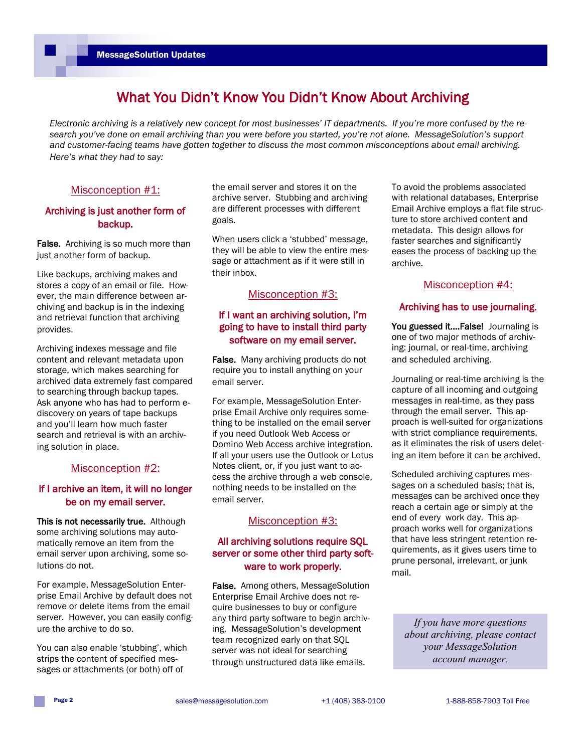### What You Didn"t Know You Didn"t Know About Archiving

*Electronic archiving is a relatively new concept for most businesses' IT departments. If you're more confused by the research you've done on email archiving than you were before you started, you're not alone. MessageSolution's support and customer-facing teams have gotten together to discuss the most common misconceptions about email archiving. Here's what they had to say:*

#### Misconception #1:

#### Archiving is just another form of backup.

False. Archiving is so much more than just another form of backup.

Like backups, archiving makes and stores a copy of an email or file. However, the main difference between archiving and backup is in the indexing and retrieval function that archiving provides.

Archiving indexes message and file content and relevant metadata upon storage, which makes searching for archived data extremely fast compared to searching through backup tapes. Ask anyone who has had to perform ediscovery on years of tape backups and you"ll learn how much faster search and retrieval is with an archiving solution in place.

#### Misconception #2:

#### If I archive an item, it will no longer be on my email server.

This is not necessarily true. Although some archiving solutions may automatically remove an item from the email server upon archiving, some solutions do not.

For example, MessageSolution Enterprise Email Archive by default does not remove or delete items from the email server. However, you can easily configure the archive to do so.

You can also enable 'stubbing', which strips the content of specified messages or attachments (or both) off of

the email server and stores it on the archive server. Stubbing and archiving are different processes with different goals.

When users click a 'stubbed' message, they will be able to view the entire message or attachment as if it were still in their inbox.

#### Misconception #3:

#### If I want an archiving solution, I"m going to have to install third party software on my email server.

False. Many archiving products do not require you to install anything on your email server.

For example, MessageSolution Enterprise Email Archive only requires something to be installed on the email server if you need Outlook Web Access or Domino Web Access archive integration. If all your users use the Outlook or Lotus Notes client, or, if you just want to access the archive through a web console, nothing needs to be installed on the email server.

#### Misconception #3:

#### All archiving solutions require SQL server or some other third party software to work properly.

False. Among others, MessageSolution Enterprise Email Archive does not require businesses to buy or configure any third party software to begin archiving. MessageSolution"s development team recognized early on that SQL server was not ideal for searching through unstructured data like emails.

To avoid the problems associated with relational databases, Enterprise Email Archive employs a flat file structure to store archived content and metadata. This design allows for faster searches and significantly eases the process of backing up the archive.

#### Misconception #4:

#### Archiving has to use journaling.

You guessed it....False! Journaling is one of two major methods of archiving: journal, or real-time, archiving and scheduled archiving.

Journaling or real-time archiving is the capture of all incoming and outgoing messages in real-time, as they pass through the email server. This approach is well-suited for organizations with strict compliance requirements. as it eliminates the risk of users deleting an item before it can be archived.

Scheduled archiving captures messages on a scheduled basis; that is, messages can be archived once they reach a certain age or simply at the end of every work day. This approach works well for organizations that have less stringent retention requirements, as it gives users time to prune personal, irrelevant, or junk mail.

*If you have more questions about archiving, please contact your MessageSolution account manager.*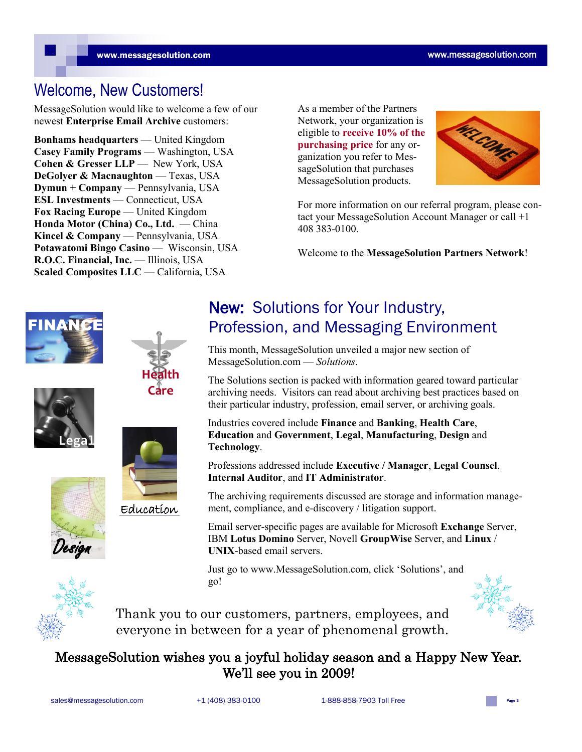## Welcome, New Customers!

MessageSolution would like to welcome a few of our newest **Enterprise Email Archive** customers:

**Bonhams headquarters** — United Kingdom **Casey Family Programs** — Washington, USA **Cohen & Gresser LLP** — New York, USA **DeGolver & Macnaughton** — Texas, USA **Dymun + Company** — Pennsylvania, USA **ESL Investments** — Connecticut, USA **Fox Racing Europe** — United Kingdom **Honda Motor (China) Co., Ltd.** — China **Kincel & Company** — Pennsylvania, USA **Potawatomi Bingo Casino** — Wisconsin, USA **R.O.C. Financial, Inc.** — Illinois, USA **Scaled Composites LLC** — California, USA

As a member of the Partners Network, your organization is eligible to **receive 10% of the purchasing price** for any organization you refer to MessageSolution that purchases MessageSolution products.



For more information on our referral program, please contact your MessageSolution Account Manager or call +1 408 383-0100.

Welcome to the **MessageSolution Partners Network**!







**Health** 

Education

### New: Solutions for Your Industry, **FINANCE** Profession, and Messaging Environment

This month, MessageSolution unveiled a major new section of MessageSolution.com — *Solutions*.

The Solutions section is packed with information geared toward particular archiving needs. Visitors can read about archiving best practices based on their particular industry, profession, email server, or archiving goals.

Industries covered include **Finance** and **Banking**, **Health Care**, **Education** and **Government**, **Legal**, **Manufacturing**, **Design** and **Technology**.

Professions addressed include **Executive / Manager**, **Legal Counsel**, **Internal Auditor**, and **IT Administrator**.

The archiving requirements discussed are storage and information management, compliance, and e-discovery / litigation support.

Email server-specific pages are available for Microsoft **Exchange** Server, IBM **Lotus Domino** Server, Novell **GroupWise** Server, and **Linux** / **UNIX**-based email servers.

Just go to www.MessageSolution.com, click 'Solutions', and go!



Design

Thank you to our customers, partners, employees, and everyone in between for a year of phenomenal growth.

### MessageSolution wishes you a joyful holiday season and a Happy New Year. We'll see you in 2009!

sales@messagesolution.com  $+1(408) 383-0100$  1-888-858-7903 Toll Free Page 3